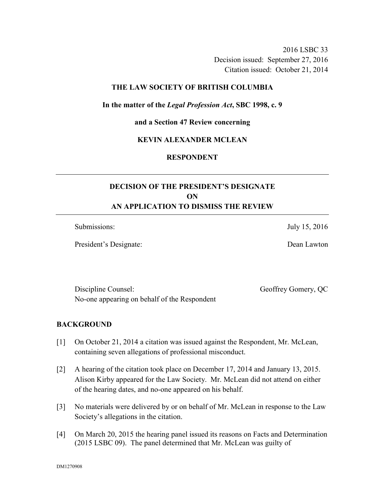2016 LSBC 33 Decision issued: September 27, 2016 Citation issued: October 21, 2014

### **THE LAW SOCIETY OF BRITISH COLUMBIA**

### **In the matter of the** *Legal Profession Act***, SBC 1998, c. 9**

**and a Section 47 Review concerning** 

### **KEVIN ALEXANDER MCLEAN**

# **RESPONDENT**

# **DECISION OF THE PRESIDENT'S DESIGNATE ON AN APPLICATION TO DISMISS THE REVIEW**

Submissions: July 15, 2016

President's Designate: Dean Lawton

Discipline Counsel: Geoffrey Gomery, QC No-one appearing on behalf of the Respondent

#### **BACKGROUND**

- [1] On October 21, 2014 a citation was issued against the Respondent, Mr. McLean, containing seven allegations of professional misconduct.
- [2] A hearing of the citation took place on December 17, 2014 and January 13, 2015. Alison Kirby appeared for the Law Society. Mr. McLean did not attend on either of the hearing dates, and no-one appeared on his behalf.
- [3] No materials were delivered by or on behalf of Mr. McLean in response to the Law Society's allegations in the citation.
- [4] On March 20, 2015 the hearing panel issued its reasons on Facts and Determination (2015 LSBC 09). The panel determined that Mr. McLean was guilty of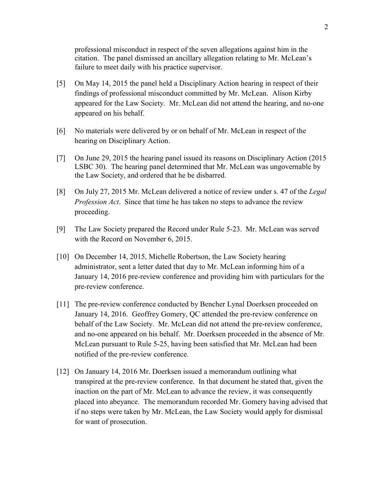professional misconduct in respect of the seven allegations against him in the citation. The panel dismissed an ancillary allegation relating to Mr. McLean's failure to meet daily with his practice supervisor.

- [5] On May 14, 2015 the panel held a Disciplinary Action hearing in respect of their findings of professional misconduct committed by Mr. McLean. Alison Kirby appeared for the Law Society. Mr. McLean did not attend the hearing, and no-one appeared on his behalf.
- [6] No materials were delivered by or on behalf of Mr. McLean in respect of the hearing on Disciplinary Action.
- [7] On June 29, 2015 the hearing panel issued its reasons on Disciplinary Action (2015 LSBC 30). The hearing panel determined that Mr. McLean was ungovernable by the Law Society, and ordered that he be disbarred.
- [8] On July 27, 2015 Mr. McLean delivered a notice of review under s. 47 of the *Legal Profession Act*. Since that time he has taken no steps to advance the review proceeding.
- [9] The Law Society prepared the Record under Rule 5-23. Mr. McLean was served with the Record on November 6, 2015.
- [10] On December 14, 2015, Michelle Robertson, the Law Society hearing administrator, sent a letter dated that day to Mr. McLean informing him of a January 14, 2016 pre-review conference and providing him with particulars for the pre-review conference.
- [11] The pre-review conference conducted by Bencher Lynal Doerksen proceeded on January 14, 2016. Geoffrey Gomery, QC attended the pre-review conference on behalf of the Law Society. Mr. McLean did not attend the pre-review conference, and no-one appeared on his behalf. Mr. Doerksen proceeded in the absence of Mr. McLean pursuant to Rule 5-25, having been satisfied that Mr. McLean had been notified of the pre-review conference.
- [12] On January 14, 2016 Mr. Doerksen issued a memorandum outlining what transpired at the pre-review conference. In that document he stated that, given the inaction on the part of Mr. McLean to advance the review, it was consequently placed into abeyance. The memorandum recorded Mr. Gomery having advised that if no steps were taken by Mr. McLean, the Law Society would apply for dismissal for want of prosecution.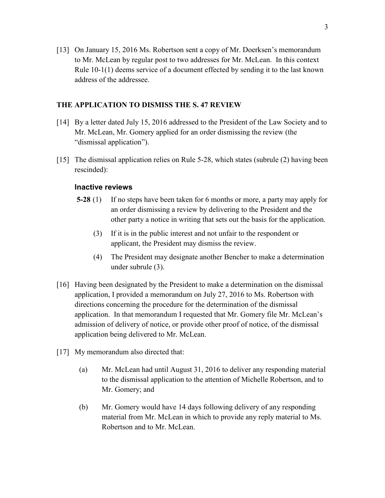[13] On January 15, 2016 Ms. Robertson sent a copy of Mr. Doerksen's memorandum to Mr. McLean by regular post to two addresses for Mr. McLean. In this context Rule 10-1(1) deems service of a document effected by sending it to the last known address of the addressee.

# **THE APPLICATION TO DISMISS THE S. 47 REVIEW**

- [14] By a letter dated July 15, 2016 addressed to the President of the Law Society and to Mr. McLean, Mr. Gomery applied for an order dismissing the review (the "dismissal application").
- [15] The dismissal application relies on Rule 5-28, which states (subrule (2) having been rescinded):

# **Inactive reviews**

- **5-28** (1) If no steps have been taken for 6 months or more, a party may apply for an order dismissing a review by delivering to the President and the other party a notice in writing that sets out the basis for the application.
	- (3) If it is in the public interest and not unfair to the respondent or applicant, the President may dismiss the review.
	- (4) The President may designate another Bencher to make a determination under subrule (3).
- [16] Having been designated by the President to make a determination on the dismissal application, I provided a memorandum on July 27, 2016 to Ms. Robertson with directions concerning the procedure for the determination of the dismissal application. In that memorandum I requested that Mr. Gomery file Mr. McLean's admission of delivery of notice, or provide other proof of notice, of the dismissal application being delivered to Mr. McLean.
- [17] My memorandum also directed that:
	- (a) Mr. McLean had until August 31, 2016 to deliver any responding material to the dismissal application to the attention of Michelle Robertson, and to Mr. Gomery; and
	- (b) Mr. Gomery would have 14 days following delivery of any responding material from Mr. McLean in which to provide any reply material to Ms. Robertson and to Mr. McLean.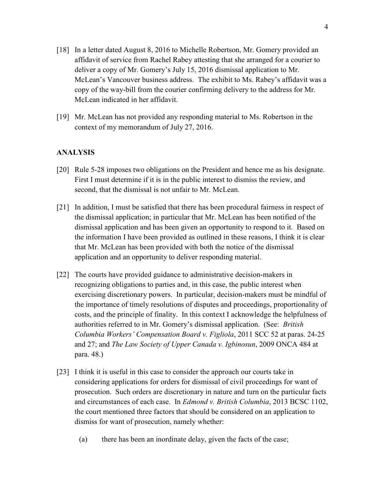- [18] In a letter dated August 8, 2016 to Michelle Robertson, Mr. Gomery provided an affidavit of service from Rachel Rabey attesting that she arranged for a courier to deliver a copy of Mr. Gomery's July 15, 2016 dismissal application to Mr. McLean's Vancouver business address. The exhibit to Ms. Rabey's affidavit was a copy of the way-bill from the courier confirming delivery to the address for Mr. McLean indicated in her affidavit.
- [19] Mr. McLean has not provided any responding material to Ms. Robertson in the context of my memorandum of July 27, 2016.

### **ANALYSIS**

- [20] Rule 5-28 imposes two obligations on the President and hence me as his designate. First I must determine if it is in the public interest to dismiss the review, and second, that the dismissal is not unfair to Mr. McLean.
- [21] In addition, I must be satisfied that there has been procedural fairness in respect of the dismissal application; in particular that Mr. McLean has been notified of the dismissal application and has been given an opportunity to respond to it. Based on the information I have been provided as outlined in these reasons, I think it is clear that Mr. McLean has been provided with both the notice of the dismissal application and an opportunity to deliver responding material.
- [22] The courts have provided guidance to administrative decision-makers in recognizing obligations to parties and, in this case, the public interest when exercising discretionary powers. In particular, decision-makers must be mindful of the importance of timely resolutions of disputes and proceedings, proportionality of costs, and the principle of finality. In this context I acknowledge the helpfulness of authorities referred to in Mr. Gomery's dismissal application. (See: *British Columbia Workers' Compensation Board v. Figliola*, 2011 SCC 52 at paras. 24-25 and 27; and *The Law Society of Upper Canada v. Igbinosun*, 2009 ONCA 484 at para. 48.)
- [23] I think it is useful in this case to consider the approach our courts take in considering applications for orders for dismissal of civil proceedings for want of prosecution. Such orders are discretionary in nature and turn on the particular facts and circumstances of each case. In *Edmond v. British Columbia*, 2013 BCSC 1102, the court mentioned three factors that should be considered on an application to dismiss for want of prosecution, namely whether:
	- (a) there has been an inordinate delay, given the facts of the case;